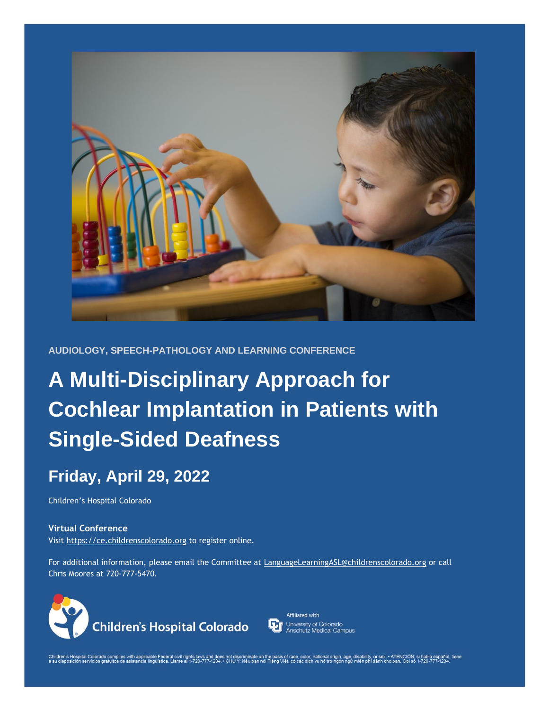

**AUDIOLOGY, SPEECH-PATHOLOGY AND LEARNING CONFERENCE** 

# **A Multi-Disciplinary Approach for Cochlear Implantation in Patients with Single-Sided Deafness**

# **Friday, April 29, 2022**

Children's Hospital Colorado

### **Virtual Conference**  Visit [https://ce.childrenscolorado.org](https://ce.childrenscolorado.org/) to register online.

For additional information, please email the Committee at [LanguageLearningASL@childrenscolorado.org](mailto:LanguageLearningASL@childrenscolorado.org) or call Chris Moores at 720-777-5470.





Children's Hospital Colorado complies with applicable Federal civil rights laws and does not discriminate on the basis of race, color, national origin, age, disability, or sex → ATENCIÓN; shene on the formation of the for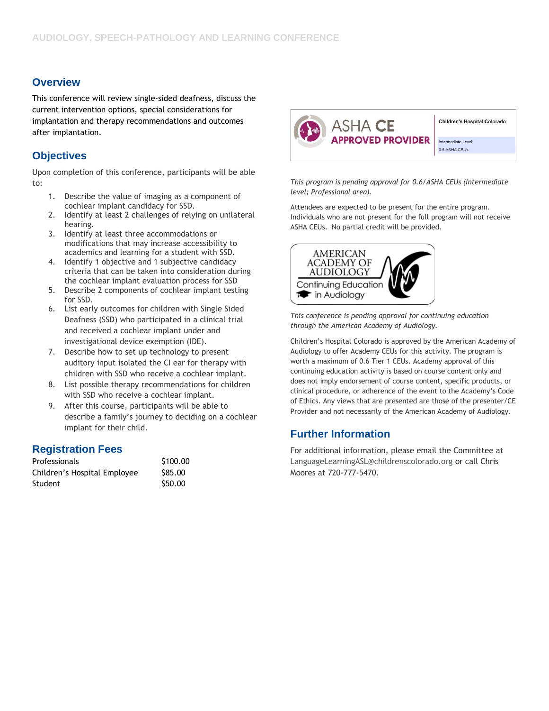# **Overview**

This conference will review single-sided deafness, discuss the current intervention options, special considerations for implantation and therapy recommendations and outcomes after implantation.

# **Objectives**

Upon completion of this conference, participants will be able to:

- 1. Describe the value of imaging as a component of cochlear implant candidacy for SSD.
- 2. Identify at least 2 challenges of relying on unilateral hearing.
- 3. Identify at least three accommodations or modifications that may increase accessibility to academics and learning for a student with SSD.
- 4. Identify 1 objective and 1 subjective candidacy criteria that can be taken into consideration during the cochlear implant evaluation process for SSD
- 5. Describe 2 components of cochlear implant testing for SSD.
- 6. List early outcomes for children with Single Sided Deafness (SSD) who participated in a clinical trial and received a cochlear implant under and investigational device exemption (IDE).
- 7. Describe how to set up technology to present auditory input isolated the CI ear for therapy with children with SSD who receive a cochlear implant.
- 8. List possible therapy recommendations for children with SSD who receive a cochlear implant.
- 9. After this course, participants will be able to describe a family's journey to deciding on a cochlear implant for their child.

# **Registration Fees**

| Professionals                | \$100.00 |
|------------------------------|----------|
| Children's Hospital Employee | \$85.00  |
| Student                      | \$50.00  |



**Children's Hospital Colorado** 

Intermediate Level 0.6 ASHA CEUs

*This program is pending approval for 0.6/ASHA CEUs (Intermediate level; Professional area).*

Attendees are expected to be present for the entire program. Individuals who are not present for the full program will not receive ASHA CEUs. No partial credit will be provided.



*This conference is pending approval for continuing education through the American Academy of Audiology.*

Children's Hospital Colorado is approved by the American Academy of Audiology to offer Academy CEUs for this activity. The program is worth a maximum of 0.6 Tier 1 CEUs. Academy approval of this continuing education activity is based on course content only and does not imply endorsement of course content, specific products, or clinical procedure, or adherence of the event to the Academy's Code of Ethics. Any views that are presented are those of the presenter/CE Provider and not necessarily of the American Academy of Audiology.

# **Further Information**

For additional information, please email the Committee at [LanguageLearningASL@childrenscolorado.org](mailto:LanguageLearningASL@childrenscolorado.org) or call Chris Moores at 720-777-5470.